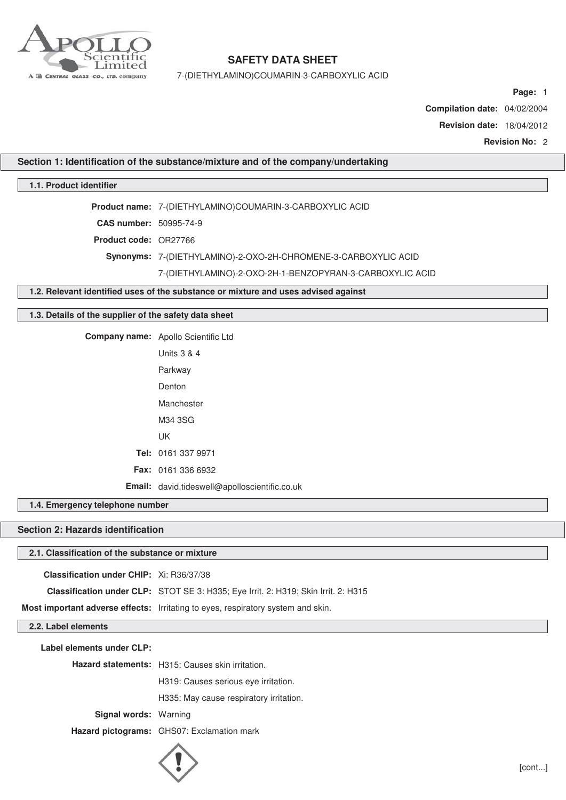

7-(DIETHYLAMINO)COUMARIN-3-CARBOXYLIC ACID

**Page:** 1

**Compilation date:** 04/02/2004

**Revision date:** 18/04/2012

**Revision No:** 2

**Section 1: Identification of the substance/mixture and of the company/undertaking**

## **1.1. Product identifier**

**Product name:** 7-(DIETHYLAMINO)COUMARIN-3-CARBOXYLIC ACID

**CAS number:** 50995-74-9

**Product code:** OR27766

**Synonyms:** 7-(DIETHYLAMINO)-2-OXO-2H-CHROMENE-3-CARBOXYLIC ACID

7-(DIETHYLAMINO)-2-OXO-2H-1-BENZOPYRAN-3-CARBOXYLIC ACID

## **1.2. Relevant identified uses of the substance or mixture and uses advised against**

### **1.3. Details of the supplier of the safety data sheet**

**Company name:** Apollo Scientific Ltd

| Units $3 \& 4$                                       |
|------------------------------------------------------|
| Parkway                                              |
| Denton                                               |
| Manchester                                           |
| M34 3SG                                              |
| UK                                                   |
| Tel: 0161 337 9971                                   |
| <b>Fax: 0161 336 6932</b>                            |
| <b>Email:</b> david.tideswell@apolloscientific.co.uk |

**1.4. Emergency telephone number**

## **Section 2: Hazards identification**

#### **2.1. Classification of the substance or mixture**

**Classification under CHIP:** Xi: R36/37/38

**Classification under CLP:** STOT SE 3: H335; Eye Irrit. 2: H319; Skin Irrit. 2: H315

**Most important adverse effects:** Irritating to eyes, respiratory system and skin.

**2.2. Label elements**

**Label elements under CLP:**

**Hazard statements:** H315: Causes skin irritation.

H319: Causes serious eye irritation.

H335: May cause respiratory irritation.

**Signal words:** Warning

**Hazard pictograms:** GHS07: Exclamation mark

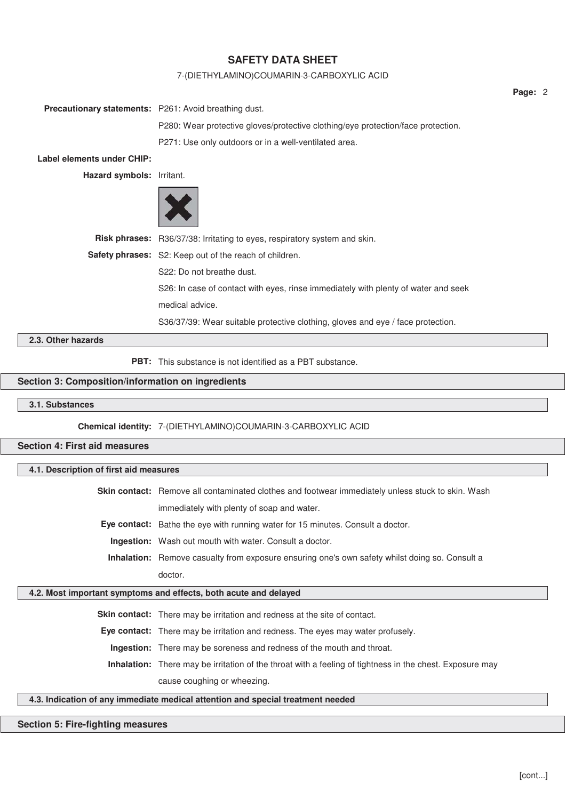#### 7-(DIETHYLAMINO)COUMARIN-3-CARBOXYLIC ACID

| <b>Precautionary statements:</b> P261: Avoid breathing dust. |                                                                                    |
|--------------------------------------------------------------|------------------------------------------------------------------------------------|
|                                                              | P280: Wear protective gloves/protective clothing/eye protection/face protection.   |
|                                                              | P271: Use only outdoors or in a well-ventilated area.                              |
| Label elements under CHIP:                                   |                                                                                    |
| Hazard symbols: Irritant.                                    |                                                                                    |
|                                                              |                                                                                    |
|                                                              | Risk phrases: R36/37/38: Irritating to eyes, respiratory system and skin.          |
|                                                              | Safety phrases: S2: Keep out of the reach of children.                             |
|                                                              | S22: Do not breathe dust.                                                          |
|                                                              | S26: In case of contact with eyes, rinse immediately with plenty of water and seek |
|                                                              | medical advice.                                                                    |
|                                                              | S36/37/39: Wear suitable protective clothing, gloves and eye / face protection.    |
| 2.3. Other hazards                                           |                                                                                    |
|                                                              | <b>PBT:</b> This substance is not identified as a PBT substance.                   |

## **Section 3: Composition/information on ingredients**

**3.1. Substances**

**Chemical identity:** 7-(DIETHYLAMINO)COUMARIN-3-CARBOXYLIC ACID

**Section 4: First aid measures**

### **4.1. Description of first aid measures**

**Skin contact:** Remove all contaminated clothes and footwear immediately unless stuck to skin. Wash immediately with plenty of soap and water.

**Eye contact:** Bathe the eye with running water for 15 minutes. Consult a doctor.

**Ingestion:** Wash out mouth with water. Consult a doctor.

**Inhalation:** Remove casualty from exposure ensuring one's own safety whilst doing so. Consult a doctor.

## **4.2. Most important symptoms and effects, both acute and delayed**

**Skin contact:** There may be irritation and redness at the site of contact.

**Eye contact:** There may be irritation and redness. The eyes may water profusely.

**Ingestion:** There may be soreness and redness of the mouth and throat.

**Inhalation:** There may be irritation of the throat with a feeling of tightness in the chest. Exposure may cause coughing or wheezing.

## **4.3. Indication of any immediate medical attention and special treatment needed**

## **Section 5: Fire-fighting measures**

**Page:** 2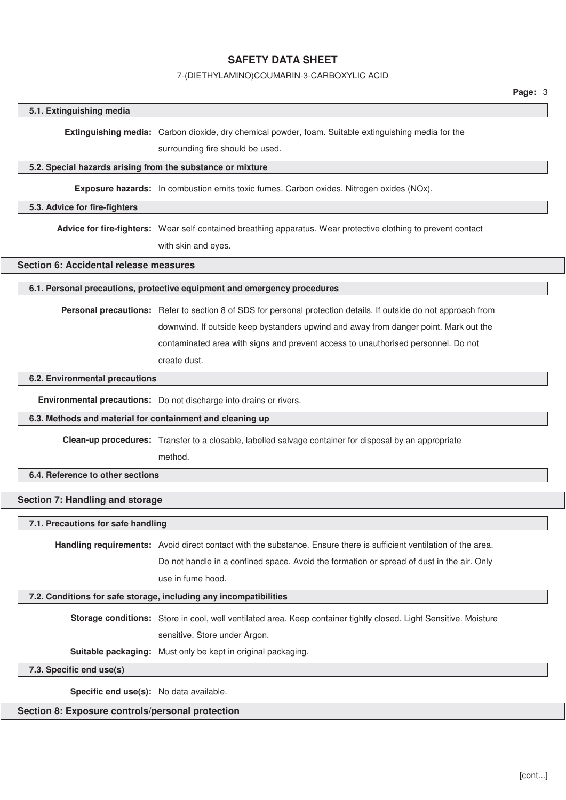#### 7-(DIETHYLAMINO)COUMARIN-3-CARBOXYLIC ACID

#### **5.1. Extinguishing media**

**Extinguishing media:** Carbon dioxide, dry chemical powder, foam. Suitable extinguishing media for the

surrounding fire should be used.

#### **5.2. Special hazards arising from the substance or mixture**

**Exposure hazards:** In combustion emits toxic fumes. Carbon oxides. Nitrogen oxides (NOx).

#### **5.3. Advice for fire-fighters**

**Advice for fire-fighters:** Wear self-contained breathing apparatus. Wear protective clothing to prevent contact with skin and eyes.

### **Section 6: Accidental release measures**

## **6.1. Personal precautions, protective equipment and emergency procedures**

**Personal precautions:** Refer to section 8 of SDS for personal protection details. If outside do not approach from downwind. If outside keep bystanders upwind and away from danger point. Mark out the contaminated area with signs and prevent access to unauthorised personnel. Do not create dust.

### **6.2. Environmental precautions**

**Environmental precautions:** Do not discharge into drains or rivers.

#### **6.3. Methods and material for containment and cleaning up**

**Clean-up procedures:** Transfer to a closable, labelled salvage container for disposal by an appropriate

method.

## **6.4. Reference to other sections**

# **Section 7: Handling and storage**

#### **7.1. Precautions for safe handling**

**Handling requirements:** Avoid direct contact with the substance. Ensure there is sufficient ventilation of the area.

Do not handle in a confined space. Avoid the formation or spread of dust in the air. Only use in fume hood.

#### **7.2. Conditions for safe storage, including any incompatibilities**

**Storage conditions:** Store in cool, well ventilated area. Keep container tightly closed. Light Sensitive. Moisture sensitive. Store under Argon.

**Suitable packaging:** Must only be kept in original packaging.

#### **7.3. Specific end use(s)**

**Specific end use(s):** No data available.

## **Section 8: Exposure controls/personal protection**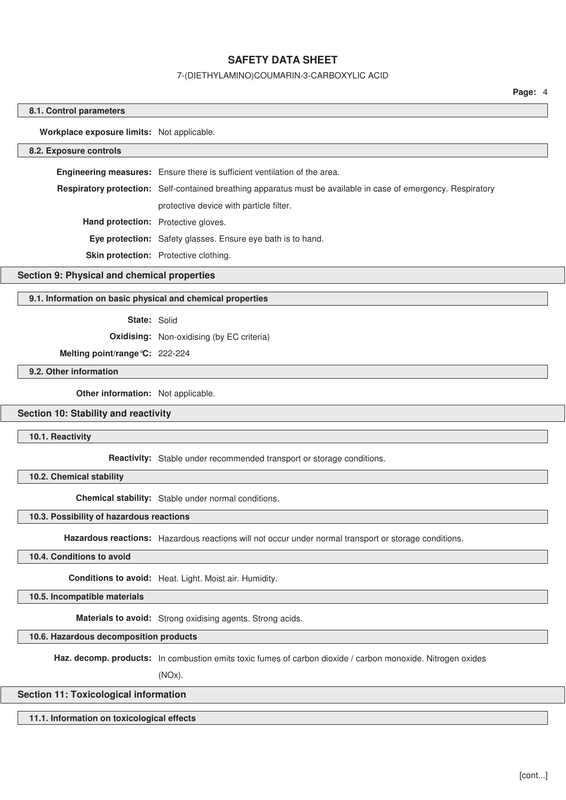#### 7-(DIETHYLAMINO)COUMARIN-3-CARBOXYLIC ACID

**Page:** 4

#### **8.1. Control parameters**

**Workplace exposure limits:** Not applicable.

#### **8.2. Exposure controls**

**Engineering measures:** Ensure there is sufficient ventilation of the area. **Respiratory protection:** Self-contained breathing apparatus must be available in case of emergency. Respiratory protective device with particle filter. **Hand protection:** Protective gloves. **Eye protection:** Safety glasses. Ensure eye bath is to hand. **Skin protection:** Protective clothing.

#### **Section 9: Physical and chemical properties**

#### **9.1. Information on basic physical and chemical properties**

#### **State:** Solid

**Oxidising:** Non-oxidising (by EC criteria)

## **Melting point/range°C:** 222-224

## **9.2. Other information**

**Other information:** Not applicable.

### **Section 10: Stability and reactivity**

#### **10.1. Reactivity**

**Reactivity:** Stable under recommended transport or storage conditions.

#### **10.2. Chemical stability**

**Chemical stability:** Stable under normal conditions.

#### **10.3. Possibility of hazardous reactions**

**Hazardous reactions:** Hazardous reactions will not occur under normal transport or storage conditions.

#### **10.4. Conditions to avoid**

**Conditions to avoid:** Heat. Light. Moist air. Humidity.

**10.5. Incompatible materials**

**Materials to avoid:** Strong oxidising agents. Strong acids.

#### **10.6. Hazardous decomposition products**

**Haz. decomp. products:** In combustion emits toxic fumes of carbon dioxide / carbon monoxide. Nitrogen oxides

(NOx).

## **Section 11: Toxicological information**

## **11.1. Information on toxicological effects**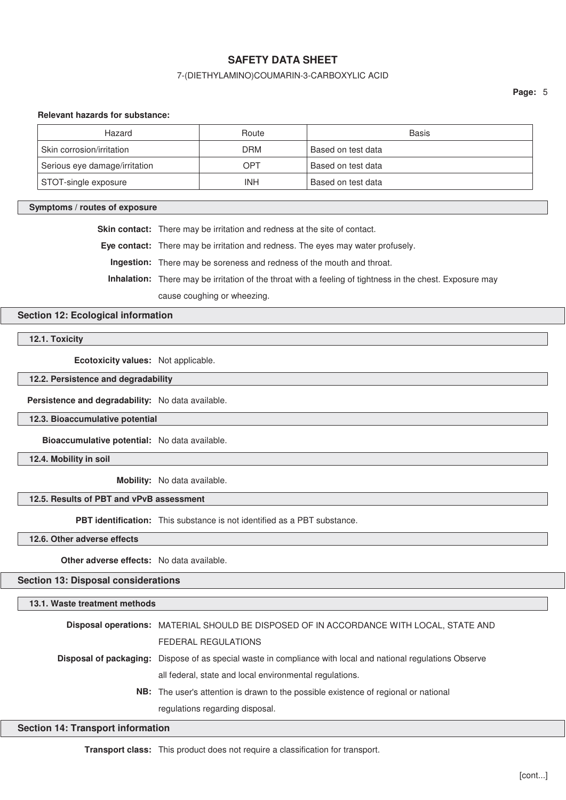### 7-(DIETHYLAMINO)COUMARIN-3-CARBOXYLIC ACID

**Page:** 5

#### **Relevant hazards for substance:**

| Hazard                        | Route      | Basis              |
|-------------------------------|------------|--------------------|
| Skin corrosion/irritation     | <b>DRM</b> | Based on test data |
| Serious eye damage/irritation | OPT        | Based on test data |
| STOT-single exposure          | INH        | Based on test data |

#### **Symptoms / routes of exposure**

**Skin contact:** There may be irritation and redness at the site of contact.

**Eye contact:** There may be irritation and redness. The eyes may water profusely.

**Ingestion:** There may be soreness and redness of the mouth and throat.

**Inhalation:** There may be irritation of the throat with a feeling of tightness in the chest. Exposure may

cause coughing or wheezing.

## **Section 12: Ecological information**

**12.1. Toxicity**

**Ecotoxicity values:** Not applicable.

**12.2. Persistence and degradability**

**Persistence and degradability:** No data available.

**12.3. Bioaccumulative potential**

**Bioaccumulative potential:** No data available.

**12.4. Mobility in soil**

**Mobility:** No data available.

## **12.5. Results of PBT and vPvB assessment**

**PBT identification:** This substance is not identified as a PBT substance.

**12.6. Other adverse effects**

**Other adverse effects:** No data available.

**Section 13: Disposal considerations**

#### **13.1. Waste treatment methods**

| Disposal operations: MATERIAL SHOULD BE DISPOSED OF IN ACCORDANCE WITH LOCAL, STATE AND                             |
|---------------------------------------------------------------------------------------------------------------------|
| <b>FEDERAL REGULATIONS</b>                                                                                          |
| <b>Disposal of packaging:</b> Dispose of as special waste in compliance with local and national regulations Observe |
| all federal, state and local environmental regulations.                                                             |
| <b>NB:</b> The user's attention is drawn to the possible existence of regional or national                          |
| regulations regarding disposal.                                                                                     |

#### **Section 14: Transport information**

**Transport class:** This product does not require a classification for transport.